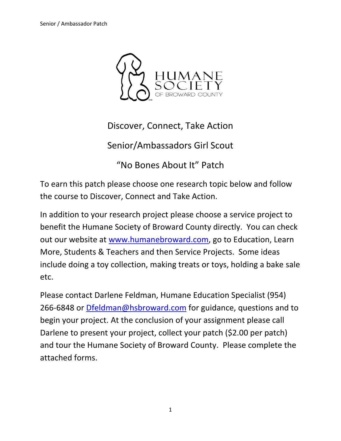

Discover, Connect, Take Action

Senior/Ambassadors Girl Scout

"No Bones About It" Patch

To earn this patch please choose one research topic below and follow the course to Discover, Connect and Take Action.

In addition to your research project please choose a service project to benefit the Humane Society of Broward County directly. You can check out our website at [www.humanebroward.com,](http://www.humanebroward.com/) go to Education, Learn More, Students & Teachers and then Service Projects. Some ideas include doing a toy collection, making treats or toys, holding a bake sale etc.

Please contact Darlene Feldman, Humane Education Specialist (954) 266-6848 or [Dfeldman@hsbroward.com](mailto:Dfeldman@hsbroward.com) for guidance, questions and to begin your project. At the conclusion of your assignment please call Darlene to present your project, collect your patch (\$2.00 per patch) and tour the Humane Society of Broward County. Please complete the attached forms.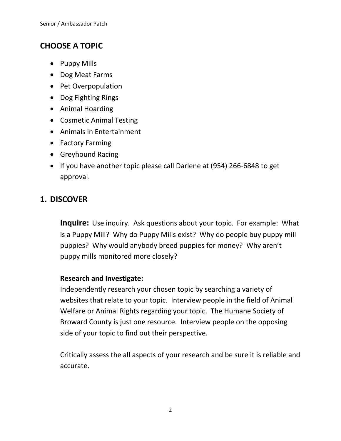## **CHOOSE A TOPIC**

- Puppy Mills
- Dog Meat Farms
- Pet Overpopulation
- Dog Fighting Rings
- Animal Hoarding
- Cosmetic Animal Testing
- Animals in Entertainment
- Factory Farming
- Greyhound Racing
- If you have another topic please call Darlene at (954) 266-6848 to get approval.

### **1. DISCOVER**

**Inquire:** Use inquiry. Ask questions about your topic. For example: What is a Puppy Mill? Why do Puppy Mills exist? Why do people buy puppy mill puppies? Why would anybody breed puppies for money? Why aren't puppy mills monitored more closely?

#### **Research and Investigate:**

Independently research your chosen topic by searching a variety of websites that relate to your topic. Interview people in the field of Animal Welfare or Animal Rights regarding your topic. The Humane Society of Broward County is just one resource. Interview people on the opposing side of your topic to find out their perspective.

Critically assess the all aspects of your research and be sure it is reliable and accurate.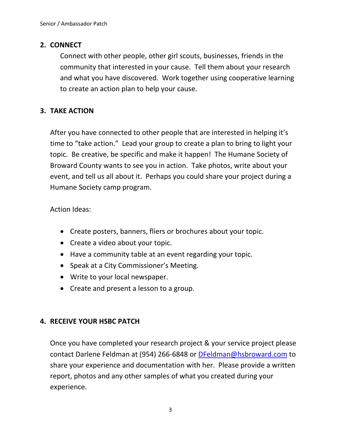#### **2. CONNECT**

Connect with other people, other girl scouts, businesses, friends in the community that interested in your cause. Tell them about your research and what you have discovered. Work together using cooperative learning to create an action plan to help your cause.

#### **3. TAKE ACTION**

After you have connected to other people that are interested in helping it's time to "take action." Lead your group to create a plan to bring to light your topic. Be creative, be specific and make it happen! The Humane Society of Broward County wants to see you in action. Take photos, write about your event, and tell us all about it. Perhaps you could share your project during a Humane Society camp program.

Action Ideas:

- Create posters, banners, fliers or brochures about your topic.
- Create a video about your topic.
- Have a community table at an event regarding your topic.
- Speak at a City Commissioner's Meeting.
- Write to your local newspaper.
- Create and present a lesson to a group.

#### **4. RECEIVE YOUR HSBC PATCH**

Once you have completed your research project & your service project please contact Darlene Feldman at (954) 266-6848 or [DFeldman@hsbroward.com](mailto:DFeldman@hsbroward.com) to share your experience and documentation with her. Please provide a written report, photos and any other samples of what you created during your experience.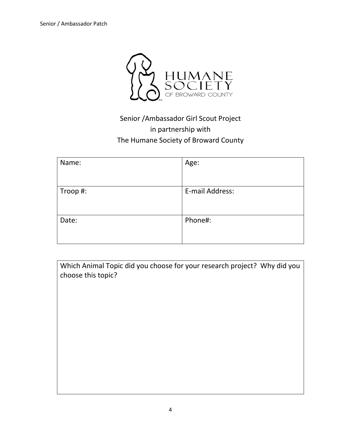

# Senior /Ambassador Girl Scout Project in partnership with The Humane Society of Broward County

| Name:    | Age:            |
|----------|-----------------|
|          |                 |
| Troop #: | E-mail Address: |
|          |                 |
| Date:    | Phone#:         |
|          |                 |

| Which Animal Topic did you choose for your research project? Why did you |  |
|--------------------------------------------------------------------------|--|
| choose this topic?                                                       |  |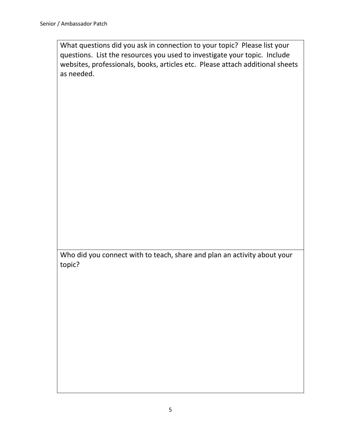What questions did you ask in connection to your topic? Please list your questions. List the resources you used to investigate your topic. Include websites, professionals, books, articles etc. Please attach additional sheets as needed.

Who did you connect with to teach, share and plan an activity about your topic?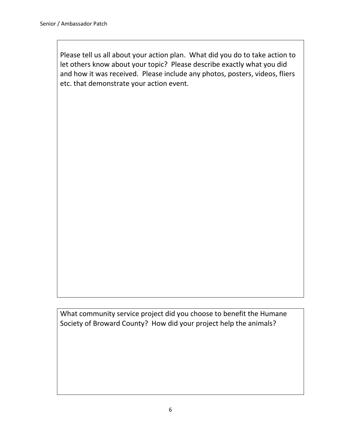Please tell us all about your action plan. What did you do to take action to let others know about your topic? Please describe exactly what you did and how it was received. Please include any photos, posters, videos, fliers etc. that demonstrate your action event.

What community service project did you choose to benefit the Humane Society of Broward County? How did your project help the animals?